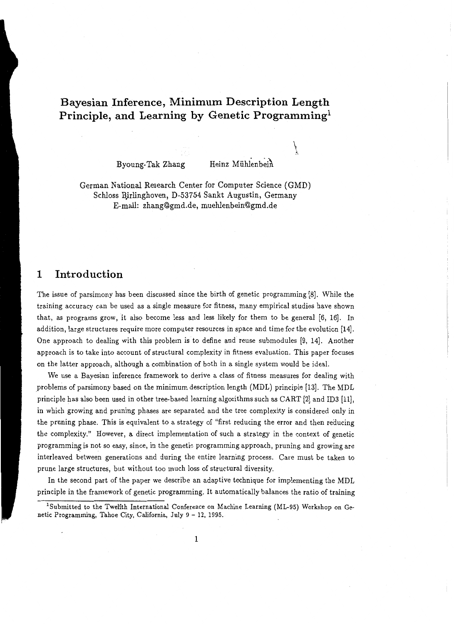## **Bayesian Inference, Minimum Description Length Principle, and Learning by Genetic Programming<sup>1</sup>**

Byoung-Tak Zhang Heinz Mühlenbein

 $\check{f}$ A

German National Research Center for Computer Science (GMD) Schloss Bjrlinghoven, D-53754 Sankt Augustin, Germany E-mail: zhang@gmd.de, muehlenbein@gmd.de

#### **1 Introduction**

The issue of parsimony has been discussed since the birth of genetic programming [8]. While the training accuracy can be used as a single measure for fitness, many empirical studies have shown that, as programs grow, it also become less and less likely for them to be general [6, 16]. In addition, large structures require more computer resources in space and time for the evolution (14]. One approach to dealing with this problem is to define and reuse submodules [9, 14]. Another approach is to take into account of structural complexity in fitness evaluation. This paper focuses on the latter approach, although a combination of both in a single system would be ideal.

We use a Bayesian inference framework to derive a class of fitness measures for dealing with \_problems of parsimony based on the minimum description length (MDL) principle [13]. The MDL principle has also been used in other tree-based learning algorithms such as CART (2] and ID3 [11], in which growing and pruning phases are separated and the tree complexity is considered only in the pruning phase. This is equivalent to a strategy of "first reducing the error and then reducing the complexity." However, a direct implementation of such a strategy in the context of genetic programming is not so easy, since, in the genetic programming approach, pruning and growing are interleaved between generations and during the entire learning process. Care must be taken to prune large structures, but without too much loss of structural diversity.

In the second part of the paper we describe an adaptive technique for implementing the MDL principle in the framework of genetic programming. It automatically balances the ratio of training

<sup>&</sup>lt;sup>1</sup> Submitted to the Twelfth International Conference on Machine Learning (ML-95) Workshop on Genetic Programming, Tahoe City, California, July 9 - 12, 1995.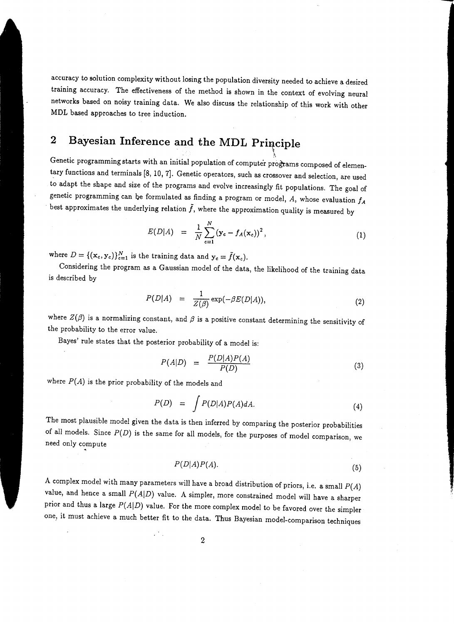accuracy to solution complexity without losing the population diversity needed to achieve a desired training accuracy. The effectiveness of the method is shown in the context of evolving neural networks based on noisy training data. We also discuss the relationship of this work with other MDL based approaches to tree induction.

# **2 Bayesian Inference and the MDL Principle**

Genetic programming starts with an initial population of computer programs composed of elementary functions and terminals (8, 10, 7]. Genetic operators, such as crossover and selection, are used to adapt the shape and size of the programs and evolve increasingly fit populations. The goal of genetic programming can be formulated as finding a program or model,  $A$ , whose evaluation  $f_A$ best approximates the underlying relation  $\tilde{f}$ , where the approximation quality is measured by

$$
E(D|A) = \frac{1}{N} \sum_{c=1}^{N} (\mathbf{y}_c - f_A(\mathbf{x}_c))^2, \qquad (1)
$$

~ i\

where  $D = \{(\mathbf{x}_c, \mathbf{y}_c)\}_{c=1}^N$  is the training data and  $\mathbf{y}_c = \tilde{f}(\mathbf{x}_c)$ .

Considering the program as a Gaussian model of the data, the likelihood of the training data is described by

$$
P(D|A) = \frac{1}{Z(\beta)} \exp(-\beta E(D|A)), \qquad (2)
$$

where  $Z(\beta)$  is a normalizing constant, and  $\beta$  is a positive constant determining the sensitivity of the probability to the error value.

Bayes' rule states that the posterior probability of a model is:

$$
P(A|D) = \frac{P(D|A)P(A)}{P(D)} \tag{3}
$$

where  $P(A)$  is the prior probability of the models and

$$
P(D) = \int P(D|A)P(A)dA.
$$
 (4)

The most plausible model given the data is then inferred by comparing the posterior probabilities of all models. Since  $P(D)$  is the same for all models, for the purposes of model comparison, we need only compute ~

$$
P(D|A)P(A). \t\t(5)
$$

A complex model with many parameters will have a broad distribution of priors, i.e. a small  $P(A)$ value, and hence a small  $P(A|D)$  value. A simpler, more constrained model will have a sharper prior and thus a large  $P(A|D)$  value. For the more complex model to be favored over the simpler one, it must achieve a much better fit to the data. Thus Bayesian model-comparison techniques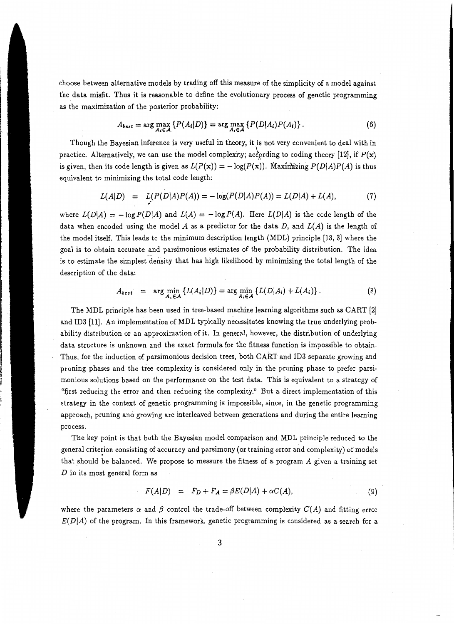choose between alternative models by trading off this measure of the simplicity of a model against the data misfit. Thus it is reasonable to define the evolutionary process of genetic programming as the maximization of the posterior probability:

$$
A_{best} = \arg\max_{A \in A} \left\{ P(A_i|D) \right\} = \arg\max_{A \in A} \left\{ P(D|A_i)P(A_i) \right\}.
$$
 (6)

Though the Bayesian inference is very useful in theory, it is not very convenient to deal with in practice. Alternatively, we can use the model complexity; according to coding theory [12], if  $P(x)$ is given, then its code length is given as  $L(P(x)) = -\log(P(x))$ . Maximizing  $P(D|A)P(A)$  is thus equivalent to minimizing the total code length:

$$
L(A|D) = L(P(D|A)P(A)) = -\log(P(D|A)P(A)) = L(D|A) + L(A),
$$
 (7)

where  $L(D|A) = -\log P(D|A)$  and  $L(A) = -\log P(A)$ . Here  $L(D|A)$  is the code length of the data when encoded using the model A as a predictor for the data  $D$ , and  $L(A)$  is the length of the model itself. This leads to the minimum description length (MDL) principle [13, 3] where the goal is to obtain accurate and parsimonious estimates of the probability distribution. The idea is to estimate the simplest density that has high likelihood by minimizing the total length of the description of the data:

$$
A_{best} = \arg \min_{A_i \in \mathcal{A}} \left\{ L(A_i|D) \right\} = \arg \min_{A_i \in \mathcal{A}} \left\{ L(D|A_i) + L(A_i) \right\}.
$$
 (8)

The MDL principle has been used in tree-based machine learning algorithms such as CART [2) and ID3 [11). An implementation of MDL typically necessitates knowing the true underlying probability distribution or an approximation of it. In general, however, the distribution of underlying data structure is unknown and the exact formula for the fitness function is impossible to obtain. Thus, for the induction of parsimonious decision trees, both CART and ID3 separate growing and pruning phases and the tree complexity is considered only in the pruning phase to prefer parsimonious solutions based on the performance on the test data. This is equivalent to a strategy of "first reducing the error and then reducing the complexity." But a direct implementation of this strategy in the context of genetic programming is impossible, since, in the genetic programming approach, pruning and growing are interleaved between generations and during the entire learning process.

The key point is that both the Bayesian model comparison and MDL principle reduced to the general criterion consisting of accuracy and parsimony (or training error and complexity) of models that should be balanced. We propose to measure the fitness of a program A given a training set  $D$  in its most general form as

$$
F(A|D) = F_D + F_A = \beta E(D|A) + \alpha C(A), \qquad (9)
$$

where the parameters  $\alpha$  and  $\beta$  control the trade-off between complexity  $C(A)$  and fitting error  $E(D|A)$  of the program. In this framework, genetic programming is considered as a search for a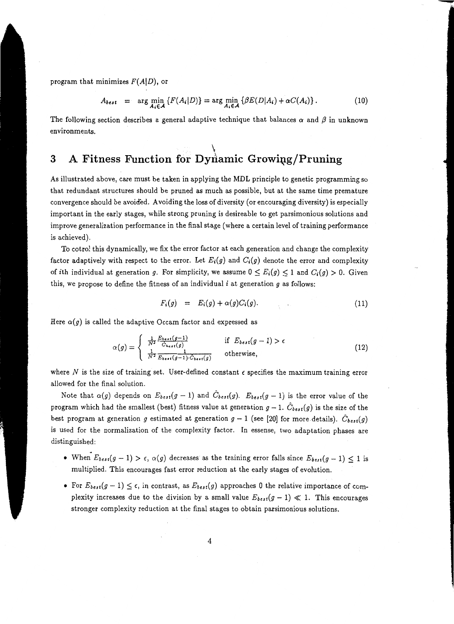program that minimizes  $F(A|D)$ , or

$$
A_{best} = \arg \min_{A_i \in \mathcal{A}} \left\{ F(A_i|D) \right\} = \arg \min_{A_i \in \mathcal{A}} \left\{ \beta E(D|A_i) + \alpha C(A_i) \right\}. \tag{10}
$$

-

The following section describes a general adaptive technique that balances  $\alpha$  and  $\beta$  in unknown environments.

#### $\dot{I}$ **3** A Fitness Function for Dynamic Growing/Pruning

As illustrated above, care must be taken in applying the MDL principle to genetic programming so that redundant structures should be pruned as much as possible, but at the same time premature convergence should be avoided. Avoiding the loss of diversity (or encouraging diversity) is especially important in the early stages, while strong pruning is desireable to get parsimonious solutions and improve generalization performance in the final stage (where a certain level of training performance is achieved).

To cotrol this dynamically, we fix the error factor at each generation and change the complexity factor adaptively with respect to the error. Let  $E_i(g)$  and  $C_i(g)$  denote the error and complexity of ith individual at generation *g*. For simplicity, we assume  $0 \le E_i(g) \le 1$  and  $C_i(g) > 0$ . Given this, we propose to define the fitness of an individual i at generation *g* as follows:

$$
F_i(g) = E_i(g) + \alpha(g)C_i(g). \qquad (11)
$$

Here  $\alpha(g)$  is called the adaptive Occam factor and expressed as

$$
\alpha(g) = \begin{cases} \frac{1}{N^2} \frac{E_{best}(g-1)}{\hat{C}_{best}(g)} & \text{if } E_{best}(g-1) > \epsilon\\ \frac{1}{N^2} \frac{1}{E_{best}(g-1) \cdot \hat{C}_{best}(g)} & \text{otherwise,} \end{cases}
$$
(12)

where  $N$  is the size of training set. User-defined constant  $\epsilon$  specifies the maximum training error allowed for the final solution.

Note that  $\alpha(g)$  depends on  $E_{best}(g-1)$  and  $C_{best}(g)$ .  $E_{best}(g-1)$  is the error value of the program which had the smallest (best) fitness value at generation  $g-1$ .  $\hat{C}_{best}(g)$  is the size of the best program at generation *g* estimated at generation  $g - 1$  (see [20] for more details).  $\ddot{C}_{best}(g)$ is used for the normalization of the complexity factor. In essense, two adaptation phases are distinguished:

- When  $E_{best}(g-1) > \epsilon$ ,  $\alpha(g)$  decreases as the training error falls since  $E_{best}(g-1) \leq 1$  is multiplied. This encourages fast error reduction at the early stages of evolution.
- For  $E_{best}(g-1) \leq \epsilon$ , in contrast, as  $E_{best}(g)$  approaches 0 the relative importance of complexity increases due to the division by a small value  $E_{best}(g-1) \ll 1$ . This encourages stronger complexity reduction at the final stages to obtain parsimonious solutions.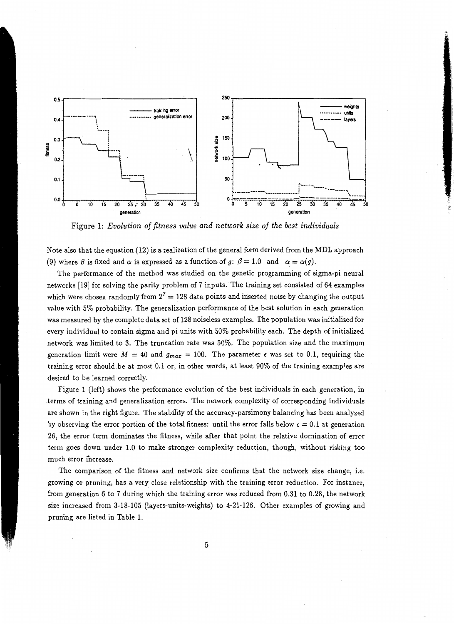

Figure 1: *Evolution of fitness value and network size of the best individuals* 

Note also that the equation (12) is a realization of the general form derived from the MDL approach (9) where  $\beta$  is fixed and  $\alpha$  is expressed as a function of  $g: \beta = 1.0$  and  $\alpha = \alpha(g)$ .

The performance of the method was studied on the genetic programming of sigma-pi neural networks [19] for solving the parity problem of 7 inputs. The training set consisted of 64 examples which were chosen randomly from  $2^7 = 128$  data points and inserted noise by changing the output value with 5% probability. The generalization performance of the best solution in each generation was measured by the complete data set of 128 noiseless examples. The population was initialized for every individual to contain sigma and pi units with 50% probability each. The depth of initialized network was limited to 3. The truncation rate was 50%. The population size and the maximum generation limit were  $M = 40$  and  $g_{max} = 100$ . The parameter  $\epsilon$  was set to 0.1, requiring the training error should be at most 0.1 or, in other words, at least 90% of the training examples are desired to be learned correctly.

Figure 1 (left) shows the performance evolution of the best individuals in each generation, in terms of training and generalization errors. The network complexity of corresponding individuals are shown in the right figure. The stability of the accuracy-parsimony balancing has been analyzed by observing the error portion of the total fitness: until the error falls below  $\epsilon = 0.1$  at generation 26, the error term dominates the fitness, while after that point the relative domination of error term goes down under 1.0 to make stronger complexity reduction, though, without risking too much error increase.

The comparison of the fitness and network size confirms that the network size change, i.e. growing or pruning, has a very close relationship with the training error reduction. For instance, from generation *6* to 7 during which the training error was reduced from 0.31 to 0.28, the network size increased from 3-18-105 (layers-units-weights) to 4-21-126. Other examples of growing and pruning are listed in Table 1.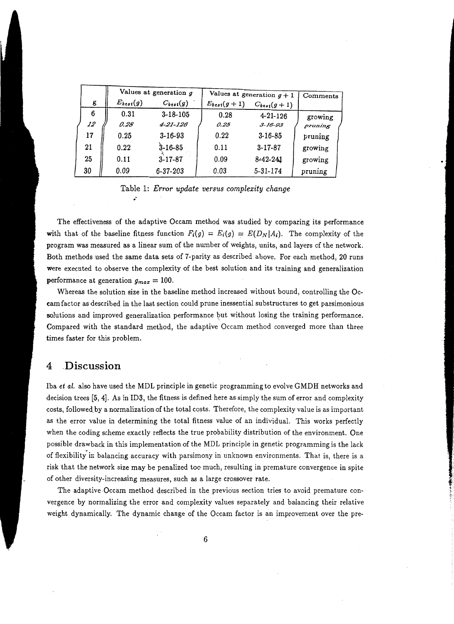|    |       | Values at generation $g$ |                | Values at generation $g + 1$ |                   | Comments |  |
|----|-------|--------------------------|----------------|------------------------------|-------------------|----------|--|
|    | g     | $E_{best}(g)$            | $C_{best}(g)$  | $E_{best}(g+1)$              | $C_{best}(g + 1)$ |          |  |
|    | 6     | 0.31                     | $3 - 18 - 105$ | 0.28                         | $4 - 21 - 126$    | growing  |  |
|    | 12    | 0.28                     | 4-21-126       | 0.25                         | $3 - 16 - 93$     | pruning  |  |
|    | $-17$ | 0.25                     | $3 - 16 - 93$  | 0.22                         | $3 - 16 - 85$     | pruning  |  |
| 21 |       | 0.22                     | $3 - 16 - 85$  | 0.11                         | $3 - 17 - 87$     | growing  |  |
|    | 25    | 0.11                     | $3 - 17 - 87$  | 0.09                         | $8-42-241$        | growing  |  |
|    | 30    | 0.09                     | $6 - 37 - 203$ | 0.03                         | 5-31-174          | pruning  |  |

Table 1: *Error update versus complexity change*  •·

The effectiveness of the adaptive Occam method was studied by comparing its performance with that of the baseline fitness function  $F_i(g) = E_i(g) = E(D_N|A_i)$ . The complexity of the program was measured as a linear sum of the number of weights, units, and layers of the network. Both methods used the same data sets of 7-parity as described above. For each method, 20 runs were executed to observe the complexity of the best solution and its training and generalization performance at generation  $g_{max} = 100$ .

Whereas the solution size in the baseline method increased without bound, controlling the Occam factor as described in the last section could prune inessential substructures to get parsimonious solutions and improved generalization performance but without losing the training performance. Compared with the standard method, the adaptive Occam method converged more than three times faster for this problem.

#### **4 .Discussion**

Iba *et al.* also have used the MDL principle in genetic programming to evolve GMDH networks and decision trees [5, 4]. As in ID3, the fitness is defined here as simply the sum of error and complexity costs, followed\_ by a normalization of the total costs. Therefore, the complexity value is as important as the error value in determining the total fitness value of an individual. This works perfectly when the coding scheme exactly reflects the true probability distribution of the environment. One possible drawback in this implementation of the MDL principle in genetic programming is the lack of flexibility in balancing accuracy with parsimony in unknown environments. That is, there is a risk that the network size may be penalized too much, resulting in premature convergence in spite of other diversity-increasing measures, such as a large crossover rate.

The adaptive Occam method described in the previous section tries to avoid premature convergence by normalizing the error and complexity values separately and balancing their relative weight dynamically. The dynamic change of the Occam factor is an improvement over the pre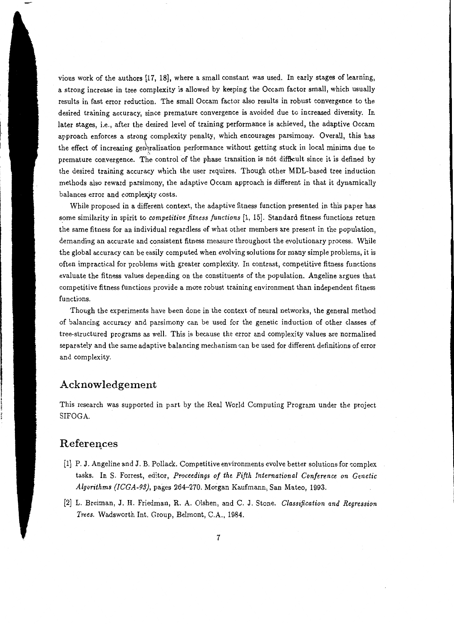vious work of the authors [17, 18], where a small constant was used. In early stages of learning, a strong increase in tree complexity is allowed by keeping the Occam factor small, which usually results in fast error reduction. The small Occam factor also results in robust convergence to the desired training accuracy, since premature convergence is avoided due to increased diversity. In later stages, i.e., after the desired level of training performance is achieved, the adaptive Occam approach enforces a strong complexity penalty, which encourages parsimony. Overall, this has the effect of increasing generalization performance without getting stuck in local minima due to premature convergence. The control of the phase transition is not difficult since it is defined by the desired training accuracy which the user requires. Though other MDL-based tree induction methods also reward parsimony, the adaptive Occam approach is different in that it dynamically balances error and complexity costs.

While proposed in a different context, the adaptive fitness function presented in this paper has some similarity in spirit to *competitive fitness functions* [1, 15]. Standard fitness functions return the same fitness for an individual regardless of what other members are present in the population, demanding an accurate and consistent fitness measure throughout the evolutionary process. While the global accuracy can be easily computed when evolving solutions for many simple problems, it is often impractical for problems with greater complexity. In contrast, competitive fitness functions evaluate the fitness values depending on the constituents of the population. Angeline argues that competitive fitness functions provide a more robust training environment than independent fitness functions.

Though the experiments have been done in the context of neural networks, the general method of balancing accuracy and parsimony can be used for the genetic induction of other classes of tree-structured programs as well. This is because the error and complexity values are normalized separately and the same adaptive balancing mechanism can be used for different definitions of error and complexity.

#### **Acknowledgement**

This research was supported in part by the Real World Computing Program under the project SIFOGA.

### **Referei!ces**

- [1] P. J. Angeline and J. B. Pollack. Competitive environments evolve better solutions for complex tasks. In S. Forrest, editor, *Proceedings of the Fifth International Conference on Genetic Algorithms (ICGA-93),* pages 264-270. Morgan Kaufmann, San Mateo, 1993.
- [2] L. Breiman, J. H. Friedman, R. A. Olshen, and C. J. Stone. *Classification and Regression Trees.* Wadsworth Int. Group, Belmont, C.A., 1984.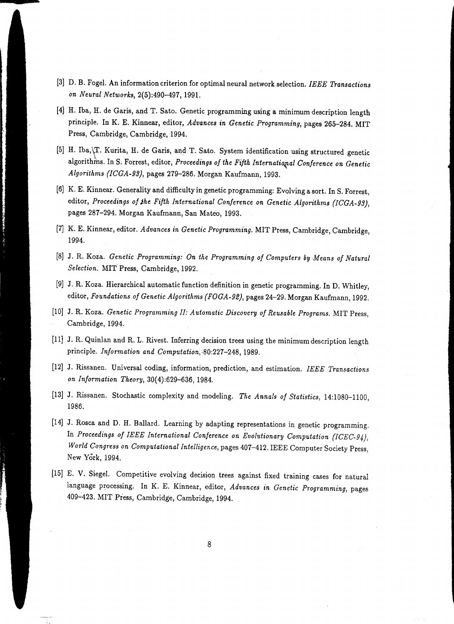- [3] D. B. Fogel. An information criterion for optimal neural network selection. *IEEE Transactions on Neural Networks,* 2(5):490-497, 1991.
- [4] H. Iba, H. de Garis, and T. Sato. Genetic programming using a minimum description length principle. In K. E. Kinnear, editor, *Advances in Genetic Programming,* pages 265-284. MIT Press, Cambridge, Cambridge, 1994.
- [5] H. Iba,\T. Kurita, H. de Garis, and T. Sato. System identification using structured genetic L . algorithms. In S. Forrest, editor, *Proceedings of the Fifth International Conference on Genetic Algorithms (ICGA-93},* pages 279-286. Morgan Kaufmann, 1993.
- [6] K. E. Kinnear. Generality and difficulty in genetic programming: Evolving a sort. In S. Forrest, editor, *Proceedings of Jhe Fifth International Conference on Genetic Algorithms (ICGA-93),*  pages 287-294. Morgan Kaufmann, San Mateo, 1993.
- [7] K. E. Kinnear, editor. *Advances in Genetic Programming.* MIT Press, Cambridge, Cambridge, 1994.
- [8] J. R. Koza. *Genetic Programming: On the Programming of Computers by Means of Natural Selection.* MIT. Press, Cambridge, 1992.
- [9] J. R. Koza. Hierarchical automatic function definition in genetic programming. In D. Whitley, editor, *Foundations of Genetic Algorithms {FOGA-92),* pages 24-29. Morgan Kaufmann, 1992.
- (10] J. R. Koza. *Genetic Programming II: Automatic Discovery of Reusable Programs.* MIT Press, Cambridge, 1994.
- [11] J. R. Quinlan and R. L. Rivest. Inferring decision trees using the minimum description length principle. *Information and Computation*, 80:227-248, 1989.
- [12] J. Rissanen. Universal coding, information, prediction, and estimation. *IEEE Transactions on Information Theory,* 30( 4):629-636, 1984.
- [13] J. Rissanen. Stochastic complexity and modeling. *The Annals of Statistics,* 14:1080-1100, 1986.
- [14] J. Rosca and D. H. Ballard. Learning by adapting representations in genetic programming. In *Proceedings of IEEE International Conference on Evolutionary Computation (ICEC-94)*, *World Congress on Computational Intelligence,* pages 407-412. IEEE Computer Society Press, New York, 1994.
- [15] E. V. Siegel. Competitive evolving decision trees against fixed training cases for natural language processing. In K. E. Kinnear, editor, *Advances in Genetic Programming,* pages 409~423. MIT Press, Cambridge, Cambridge, 1994.